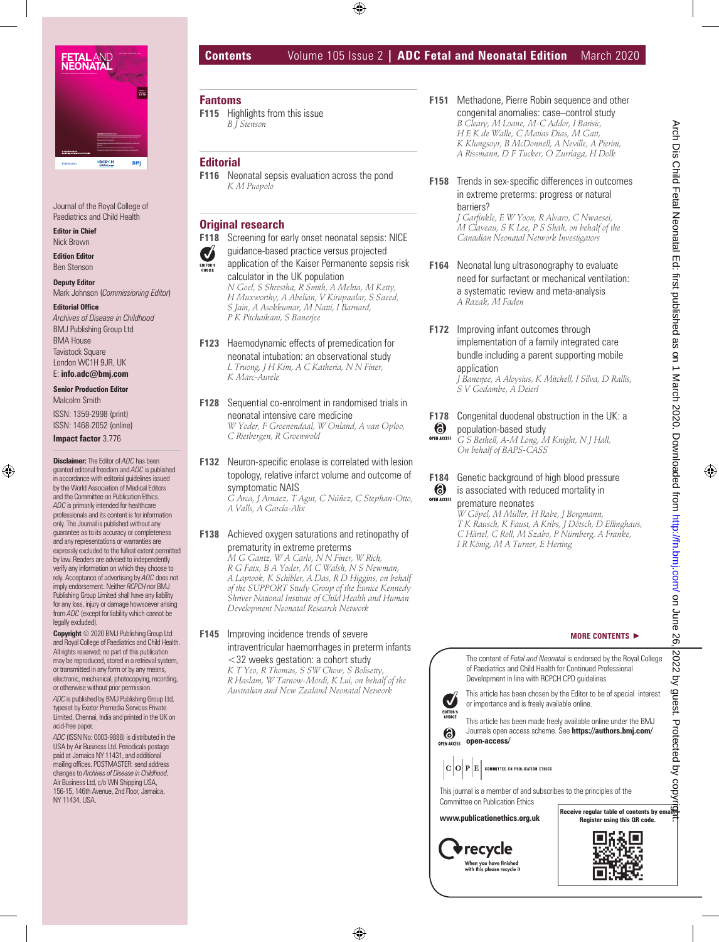

Journal of the Royal College of Paediatrics and Child Health

**Editor in Chief** Nick Brown

**Edition Editor** Ben Stenson

**Deputy Editor** Mark Johnson (*Commissioning Editor*)

**Editorial Office** *Archives of Disease in Childhood* BMJ Publishing Group Ltd BMA House Tavistock Square London WC1H 9JR, UK E: **info.adc@bmj.com**

## **Senior Production Editor**

Malcolm Smith ISSN: 1359-2998 (print) ISSN: 1468-2052 (online)

**Impact factor** 3.776

**Disclaimer:** The Editor of *ADC* has been granted editorial freedom and *ADC* is published in accordance with editorial guidelines issued by the World Association of Medical Editors and the Committee on Publication Ethics. *ADC* is primarily intended for healthcare professionals and its content is for information only. The Journal is published without any guarantee as to its accuracy or completeness and any representations or warranties are expressly excluded to the fullest extent permitted by law. Readers are advised to independently verify any information on which they choose to rely. Acceptance of advertising by *ADC* does not imply endorsement. Neither *RCPCH* nor BMJ Publishing Group Limited shall have any liability for any loss, injury or damage howsoever arising from *ADC* (except for liability which cannot be legally excluded).

**Copyright** © 2020 BMJ Publishing Group Ltd and Royal College of Paediatrics and Child Health. All rights reserved; no part of this publication may be reproduced, stored in a retrieval system, or transmitted in any form or by any means, electronic, mechanical, photocopying, recording, or otherwise without prior permission. *ADC* is published by BMJ Publishing Group Ltd, typeset by Exeter Premedia Services Private Limited, Chennai, India and printed in the UK on acid-free paper.

*ADC* (ISSN No: 0003-9888) is distributed in the USA by Air Business Ltd. Periodicals postage paid at Jamaica NY 11431, and additional mailing offices. POSTMASTER: send address changes to *Archives of Disease in Childhood*, Air Business Ltd, c/o WN Shipping USA, 156-15, 146th Avenue, 2nd Floor, Jamaica, NY 11434, USA.

# **Contents** Volume 105 Issue 2 **| ADC Fetal and Neonatal Edition** March 2020

# **Fantoms**

**F115** Highlights from this issue *B J Stenson*

#### **Editorial**

**F116** Neonatal sepsis evaluation across the pond *K M Puopolo*

# **Original research**

**F118** Screening for early onset neonatal sepsis: NICE

guidance-based practice versus projected

**V** application of the Kaiser Permanente sepsis risk calculator in the UK population *N Goel, S Shrestha, R Smith, A Mehta, M Ketty,* 

*H Muxworthy, A Abelian, V Kirupaalar, S Saeed, S Jain, A Asokkumar, M Natti, I Barnard, P K Pitchaikani, S Banerjee*

- **F123** Haemodynamic effects of premedication for neonatal intubation: an observational study *L Truong, J H Kim, A C Katheria, N N Finer, K Marc-Aurele*
- **F128** Sequential co-enrolment in randomised trials in neonatal intensive care medicine *W Yoder, F Groenendaal, W Onland, A van Oploo, C Rietbergen, R Groenwold*
- **F132** Neuron-specific enolase is correlated with lesion topology, relative infarct volume and outcome of symptomatic NAIS *G Arca, J Arnaez, T Agut, C Núñez, C Stephan-Otto,*

*A Valls, A García-Alix*

#### **F138** Achieved oxygen saturations and retinopathy of prematurity in extreme preterms

*M G Gantz, W A Carlo, N N Finer, W Rich, R G Faix, B A Yoder, M C Walsh, N S Newman, A Laptook, K Schibler, A Das, R D Higgins, on behalf of the SUPPORT Study Group of the Eunice Kennedy Shriver National Institute of Child Health and Human Development Neonatal Research Network*

#### **F145** Improving incidence trends of severe intraventricular haemorrhages in preterm infants <32 weeks gestation: a cohort study

*K T Yeo, R Thomas, S SW Chow, S Bolisetty, R Haslam, W Tarnow-Mordi, K Lui, on behalf of the Australian and New Zealand Neonatal Network*

- **F151** Methadone, Pierre Robin sequence and other congenital anomalies: case–control study *B Cleary, M Loane, M-C Addor, I Barisic, H E K de Walle, C Matias Dias, M Gatt, K Klungsoyr, B McDonnell, A Neville, A Pierini, A Rissmann, D F Tucker, O Zurriaga, H Dolk*
- **F158** Trends in sex-specific differences in outcomes in extreme preterms: progress or natural barriers?

*J Garfinkle, E W Yoon, R Alvaro, C Nwaesei, M Claveau, S K Lee, P S Shah, on behalf of the Canadian Neonatal Network Investigators*

- **F164** Neonatal lung ultrasonography to evaluate need for surfactant or mechanical ventilation: a systematic review and meta-analysis *A Razak, M Faden*
- **F172** Improving infant outcomes through implementation of a family integrated care bundle including a parent supporting mobile application

*J Banerjee, A Aloysius, K Mitchell, I Silva, D Rallis, S V Godambe, A Deierl*

**F178** Congenital duodenal obstruction in the UK: a  $\odot$ population-based study

**OPEN ACCESS** *G S Bethell, A-M Long, M Knight, N J Hall, On behalf of BAPS-CASS*

**F184** Genetic background of high blood pressure  $\boldsymbol{6}$ is associated with reduced mortality in OPEN ACCESS premature neonates

*W Göpel, M Müller, H Rabe, J Borgmann, T K Rausch, K Faust, A Kribs, J Dötsch, D Ellinghaus, C Härtel, C Roll, M Szabo, P Nürnberg, A Franke, I R König, M A Turner, E Herting*

#### **MORE CONTENTS**

The content of *Fetal and Neonatal* is endorsed by the Royal College of Paediatrics and Child Health for Continued Professional Development in line with RCPCH CPD guidelines



**OPEN ACCESS** 

This article has been chosen by the Editor to be of special interest or importance and is freely available online. This article has been made freely available online under the BMJ

Journals open access scheme. See **https://authors.bmj.com/ open-access/** 



This journal is a member of and subscribes to the principles of the Committee on Publication Ethics **www.publicationethics.org.uk and a series of contents by emails and a series of contents by email.**<br> **WWW.publicationethics.org.uk Receive regular table of contents by email.**